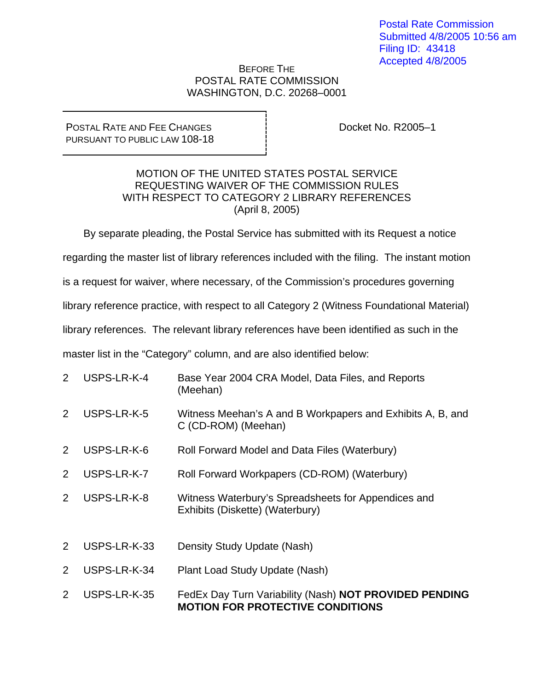## BEFORE THE POSTAL RATE COMMISSION WASHINGTON, D.C. 20268–0001

POSTAL RATE AND FEE CHANGES PURSUANT TO PUBLIC LAW 108-18 Docket No. R2005–1

## MOTION OF THE UNITED STATES POSTAL SERVICE REQUESTING WAIVER OF THE COMMISSION RULES WITH RESPECT TO CATEGORY 2 LIBRARY REFERENCES (April 8, 2005)

By separate pleading, the Postal Service has submitted with its Request a notice

regarding the master list of library references included with the filing. The instant motion

is a request for waiver, where necessary, of the Commission's procedures governing

library reference practice, with respect to all Category 2 (Witness Foundational Material)

library references. The relevant library references have been identified as such in the

master list in the "Category" column, and are also identified below:

| $\overline{2}$ | USPS-LR-K-4  | Base Year 2004 CRA Model, Data Files, and Reports<br>(Meehan)                                     |
|----------------|--------------|---------------------------------------------------------------------------------------------------|
| 2              | USPS-LR-K-5  | Witness Meehan's A and B Workpapers and Exhibits A, B, and<br>C (CD-ROM) (Meehan)                 |
| $\overline{2}$ | USPS-LR-K-6  | Roll Forward Model and Data Files (Waterbury)                                                     |
| 2              | USPS-LR-K-7  | Roll Forward Workpapers (CD-ROM) (Waterbury)                                                      |
| $\overline{2}$ | USPS-LR-K-8  | Witness Waterbury's Spreadsheets for Appendices and<br>Exhibits (Diskette) (Waterbury)            |
| $\overline{2}$ | USPS-LR-K-33 | Density Study Update (Nash)                                                                       |
| 2              | USPS-LR-K-34 | Plant Load Study Update (Nash)                                                                    |
| 2              | USPS-LR-K-35 | FedEx Day Turn Variability (Nash) NOT PROVIDED PENDING<br><b>MOTION FOR PROTECTIVE CONDITIONS</b> |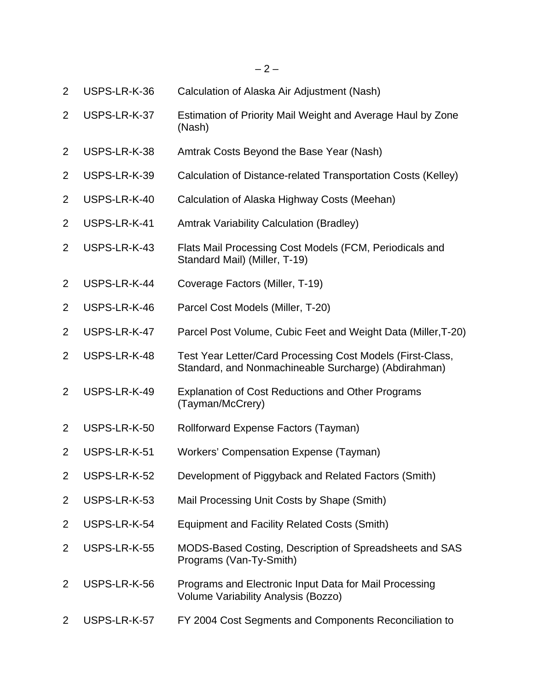2 USPS-LR-K-36 Calculation of Alaska Air Adjustment (Nash) 2 USPS-LR-K-37 Estimation of Priority Mail Weight and Average Haul by Zone (Nash) 2 USPS-LR-K-38 Amtrak Costs Beyond the Base Year (Nash) 2 USPS-LR-K-39 Calculation of Distance-related Transportation Costs (Kelley) 2 USPS-LR-K-40 Calculation of Alaska Highway Costs (Meehan) 2 USPS-LR-K-41 Amtrak Variability Calculation (Bradley) 2 USPS-LR-K-43 Flats Mail Processing Cost Models (FCM, Periodicals and Standard Mail) (Miller, T-19) 2 USPS-LR-K-44 Coverage Factors (Miller, T-19) 2 USPS-LR-K-46 Parcel Cost Models (Miller, T-20) 2 USPS-LR-K-47 Parcel Post Volume, Cubic Feet and Weight Data (Miller,T-20) 2 USPS-LR-K-48 Test Year Letter/Card Processing Cost Models (First-Class, Standard, and Nonmachineable Surcharge) (Abdirahman) 2 USPS-LR-K-49 Explanation of Cost Reductions and Other Programs (Tayman/McCrery) 2 USPS-LR-K-50 Rollforward Expense Factors (Tayman) 2 USPS-LR-K-51 Workers' Compensation Expense (Tayman) 2 USPS-LR-K-52 Development of Piggyback and Related Factors (Smith) 2 USPS-LR-K-53 Mail Processing Unit Costs by Shape (Smith) 2 USPS-LR-K-54 Equipment and Facility Related Costs (Smith) 2 USPS-LR-K-55 MODS-Based Costing, Description of Spreadsheets and SAS Programs (Van-Ty-Smith) 2 USPS-LR-K-56 Programs and Electronic Input Data for Mail Processing Volume Variability Analysis (Bozzo) 2 USPS-LR-K-57 FY 2004 Cost Segments and Components Reconciliation to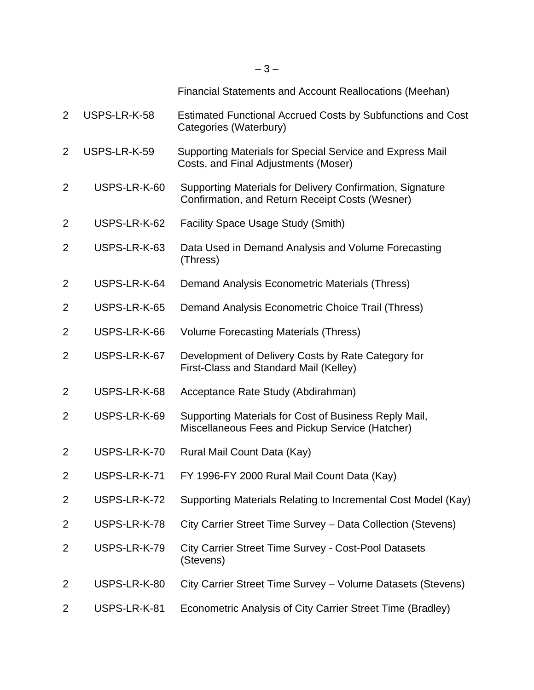| $\overline{2}$ | USPS-LR-K-58 | Estimated Functional Accrued Costs by Subfunctions and Cost<br>Categories (Waterbury)                        |
|----------------|--------------|--------------------------------------------------------------------------------------------------------------|
| $\overline{2}$ | USPS-LR-K-59 | Supporting Materials for Special Service and Express Mail<br>Costs, and Final Adjustments (Moser)            |
| $\overline{2}$ | USPS-LR-K-60 | Supporting Materials for Delivery Confirmation, Signature<br>Confirmation, and Return Receipt Costs (Wesner) |
| $\overline{2}$ | USPS-LR-K-62 | <b>Facility Space Usage Study (Smith)</b>                                                                    |
| $\overline{2}$ | USPS-LR-K-63 | Data Used in Demand Analysis and Volume Forecasting<br>(Thress)                                              |
| $\overline{2}$ | USPS-LR-K-64 | Demand Analysis Econometric Materials (Thress)                                                               |
| $\overline{2}$ | USPS-LR-K-65 | Demand Analysis Econometric Choice Trail (Thress)                                                            |
| $\overline{2}$ | USPS-LR-K-66 | <b>Volume Forecasting Materials (Thress)</b>                                                                 |
| 2              | USPS-LR-K-67 | Development of Delivery Costs by Rate Category for<br>First-Class and Standard Mail (Kelley)                 |
| $\overline{2}$ | USPS-LR-K-68 | Acceptance Rate Study (Abdirahman)                                                                           |
| $\overline{2}$ | USPS-LR-K-69 | Supporting Materials for Cost of Business Reply Mail,<br>Miscellaneous Fees and Pickup Service (Hatcher)     |
| $\overline{2}$ | USPS-LR-K-70 | Rural Mail Count Data (Kay)                                                                                  |
| $\overline{2}$ | USPS-LR-K-71 | FY 1996-FY 2000 Rural Mail Count Data (Kay)                                                                  |
| $\overline{2}$ | USPS-LR-K-72 | Supporting Materials Relating to Incremental Cost Model (Kay)                                                |
| $\overline{2}$ | USPS-LR-K-78 | City Carrier Street Time Survey - Data Collection (Stevens)                                                  |
| $\overline{2}$ | USPS-LR-K-79 | <b>City Carrier Street Time Survey - Cost-Pool Datasets</b><br>(Stevens)                                     |
| 2              | USPS-LR-K-80 | City Carrier Street Time Survey - Volume Datasets (Stevens)                                                  |
| 2              | USPS-LR-K-81 | Econometric Analysis of City Carrier Street Time (Bradley)                                                   |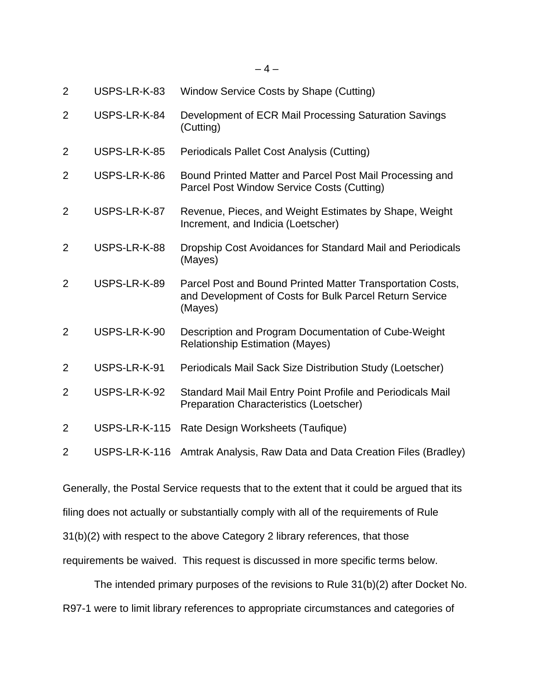| $\overline{2}$ | USPS-LR-K-83  | Window Service Costs by Shape (Cutting)                                                                                          |
|----------------|---------------|----------------------------------------------------------------------------------------------------------------------------------|
| $\overline{2}$ | USPS-LR-K-84  | Development of ECR Mail Processing Saturation Savings<br>(Cutting)                                                               |
| $\overline{2}$ | USPS-LR-K-85  | Periodicals Pallet Cost Analysis (Cutting)                                                                                       |
| $\overline{2}$ | USPS-LR-K-86  | Bound Printed Matter and Parcel Post Mail Processing and<br>Parcel Post Window Service Costs (Cutting)                           |
| $\overline{2}$ | USPS-LR-K-87  | Revenue, Pieces, and Weight Estimates by Shape, Weight<br>Increment, and Indicia (Loetscher)                                     |
| 2              | USPS-LR-K-88  | Dropship Cost Avoidances for Standard Mail and Periodicals<br>(Mayes)                                                            |
| $\overline{2}$ | USPS-LR-K-89  | Parcel Post and Bound Printed Matter Transportation Costs,<br>and Development of Costs for Bulk Parcel Return Service<br>(Mayes) |
| $\overline{2}$ | USPS-LR-K-90  | Description and Program Documentation of Cube-Weight<br><b>Relationship Estimation (Mayes)</b>                                   |
| $\overline{2}$ | USPS-LR-K-91  | Periodicals Mail Sack Size Distribution Study (Loetscher)                                                                        |
| $\overline{2}$ | USPS-LR-K-92  | Standard Mail Mail Entry Point Profile and Periodicals Mail<br><b>Preparation Characteristics (Loetscher)</b>                    |
| 2              | USPS-LR-K-115 | Rate Design Worksheets (Taufique)                                                                                                |
| $\overline{2}$ | USPS-LR-K-116 | Amtrak Analysis, Raw Data and Data Creation Files (Bradley)                                                                      |

Generally, the Postal Service requests that to the extent that it could be argued that its filing does not actually or substantially comply with all of the requirements of Rule 31(b)(2) with respect to the above Category 2 library references, that those requirements be waived. This request is discussed in more specific terms below.

The intended primary purposes of the revisions to Rule 31(b)(2) after Docket No. R97-1 were to limit library references to appropriate circumstances and categories of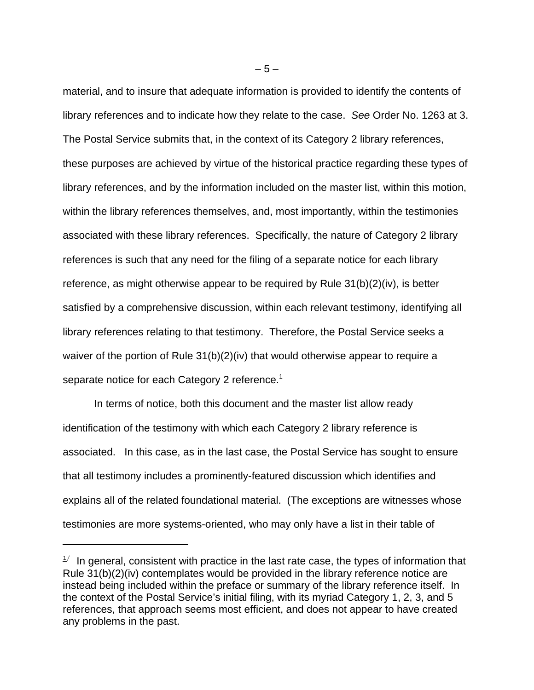material, and to insure that adequate information is provided to identify the contents of library references and to indicate how they relate to the case. *See* Order No. 1263 at 3. The Postal Service submits that, in the context of its Category 2 library references, these purposes are achieved by virtue of the historical practice regarding these types of library references, and by the information included on the master list, within this motion, within the library references themselves, and, most importantly, within the testimonies associated with these library references. Specifically, the nature of Category 2 library references is such that any need for the filing of a separate notice for each library reference, as might otherwise appear to be required by Rule 31(b)(2)(iv), is better satisfied by a comprehensive discussion, within each relevant testimony, identifying all library references relating to that testimony. Therefore, the Postal Service seeks a waiver of the portion of Rule 31(b)(2)(iv) that would otherwise appear to require a separate notice for each Category 2 reference.<sup>1</sup>

In terms of notice, both this document and the master list allow ready identification of the testimony with which each Category 2 library reference is associated. In this case, as in the last case, the Postal Service has sought to ensure that all testimony includes a prominently-featured discussion which identifies and explains all of the related foundational material. (The exceptions are witnesses whose testimonies are more systems-oriented, who may only have a list in their table of

 $1/$  In general, consistent with practice in the last rate case, the types of information that Rule 31(b)(2)(iv) contemplates would be provided in the library reference notice are instead being included within the preface or summary of the library reference itself. In the context of the Postal Service's initial filing, with its myriad Category 1, 2, 3, and 5 references, that approach seems most efficient, and does not appear to have created any problems in the past.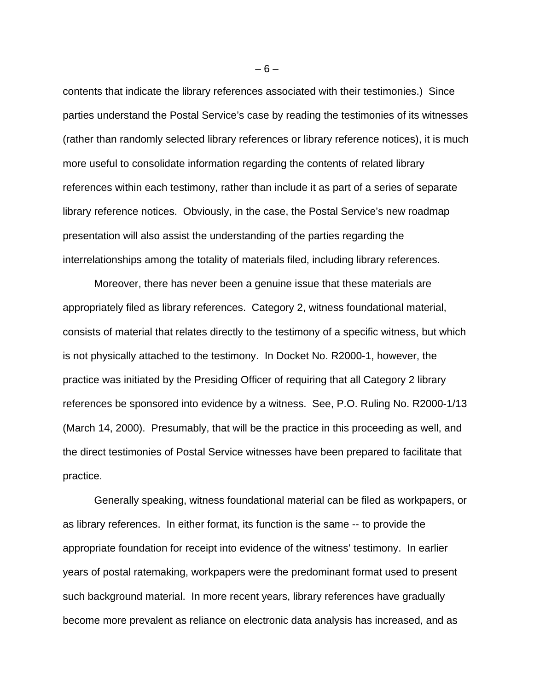contents that indicate the library references associated with their testimonies.) Since parties understand the Postal Service's case by reading the testimonies of its witnesses (rather than randomly selected library references or library reference notices), it is much more useful to consolidate information regarding the contents of related library references within each testimony, rather than include it as part of a series of separate library reference notices. Obviously, in the case, the Postal Service's new roadmap presentation will also assist the understanding of the parties regarding the interrelationships among the totality of materials filed, including library references.

 Moreover, there has never been a genuine issue that these materials are appropriately filed as library references. Category 2, witness foundational material, consists of material that relates directly to the testimony of a specific witness, but which is not physically attached to the testimony. In Docket No. R2000-1, however, the practice was initiated by the Presiding Officer of requiring that all Category 2 library references be sponsored into evidence by a witness. See, P.O. Ruling No. R2000-1/13 (March 14, 2000). Presumably, that will be the practice in this proceeding as well, and the direct testimonies of Postal Service witnesses have been prepared to facilitate that practice.

Generally speaking, witness foundational material can be filed as workpapers, or as library references. In either format, its function is the same -- to provide the appropriate foundation for receipt into evidence of the witness' testimony. In earlier years of postal ratemaking, workpapers were the predominant format used to present such background material. In more recent years, library references have gradually become more prevalent as reliance on electronic data analysis has increased, and as

 $-6-$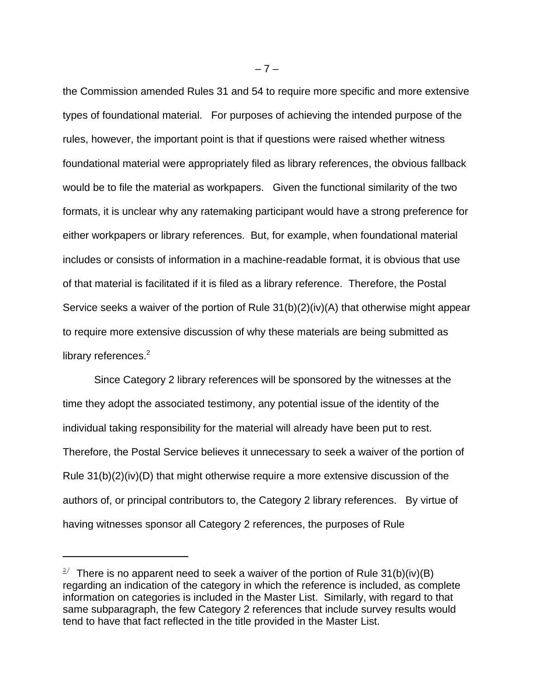the Commission amended Rules 31 and 54 to require more specific and more extensive types of foundational material. For purposes of achieving the intended purpose of the rules, however, the important point is that if questions were raised whether witness foundational material were appropriately filed as library references, the obvious fallback would be to file the material as workpapers. Given the functional similarity of the two formats, it is unclear why any ratemaking participant would have a strong preference for either workpapers or library references. But, for example, when foundational material includes or consists of information in a machine-readable format, it is obvious that use of that material is facilitated if it is filed as a library reference. Therefore, the Postal Service seeks a waiver of the portion of Rule 31(b)(2)(iv)(A) that otherwise might appear to require more extensive discussion of why these materials are being submitted as library references. $2$ 

Since Category 2 library references will be sponsored by the witnesses at the time they adopt the associated testimony, any potential issue of the identity of the individual taking responsibility for the material will already have been put to rest. Therefore, the Postal Service believes it unnecessary to seek a waiver of the portion of Rule  $31(b)(2)(iv)(D)$  that might otherwise require a more extensive discussion of the authors of, or principal contributors to, the Category 2 library references. By virtue of having witnesses sponsor all Category 2 references, the purposes of Rule

 $-7-$ 

<sup>&</sup>lt;sup>2/</sup> There is no apparent need to seek a waiver of the portion of Rule 31(b)(iv)(B) regarding an indication of the category in which the reference is included, as complete information on categories is included in the Master List. Similarly, with regard to that same subparagraph, the few Category 2 references that include survey results would tend to have that fact reflected in the title provided in the Master List.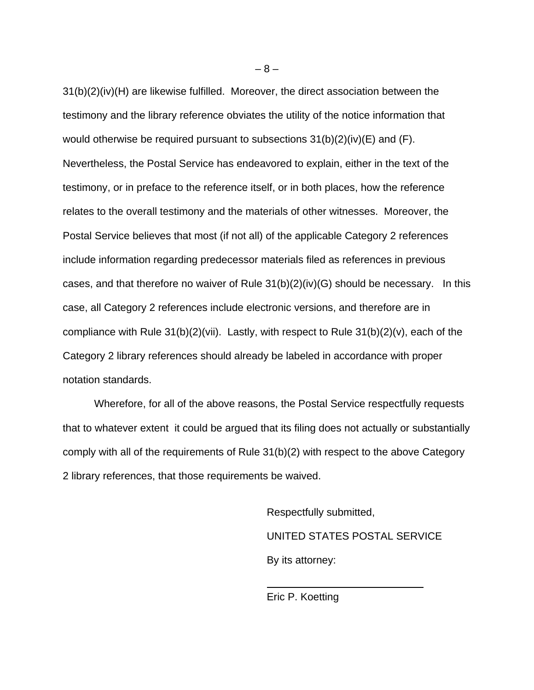31(b)(2)(iv)(H) are likewise fulfilled. Moreover, the direct association between the testimony and the library reference obviates the utility of the notice information that would otherwise be required pursuant to subsections 31(b)(2)(iv)(E) and (F). Nevertheless, the Postal Service has endeavored to explain, either in the text of the testimony, or in preface to the reference itself, or in both places, how the reference relates to the overall testimony and the materials of other witnesses. Moreover, the Postal Service believes that most (if not all) of the applicable Category 2 references include information regarding predecessor materials filed as references in previous cases, and that therefore no waiver of Rule 31(b)(2)(iv)(G) should be necessary. In this case, all Category 2 references include electronic versions, and therefore are in compliance with Rule 31(b)(2)(vii). Lastly, with respect to Rule 31(b)(2)(v), each of the Category 2 library references should already be labeled in accordance with proper notation standards.

 Wherefore, for all of the above reasons, the Postal Service respectfully requests that to whatever extent it could be argued that its filing does not actually or substantially comply with all of the requirements of Rule 31(b)(2) with respect to the above Category 2 library references, that those requirements be waived.

> Respectfully submitted, UNITED STATES POSTAL SERVICE By its attorney:

Eric P. Koetting